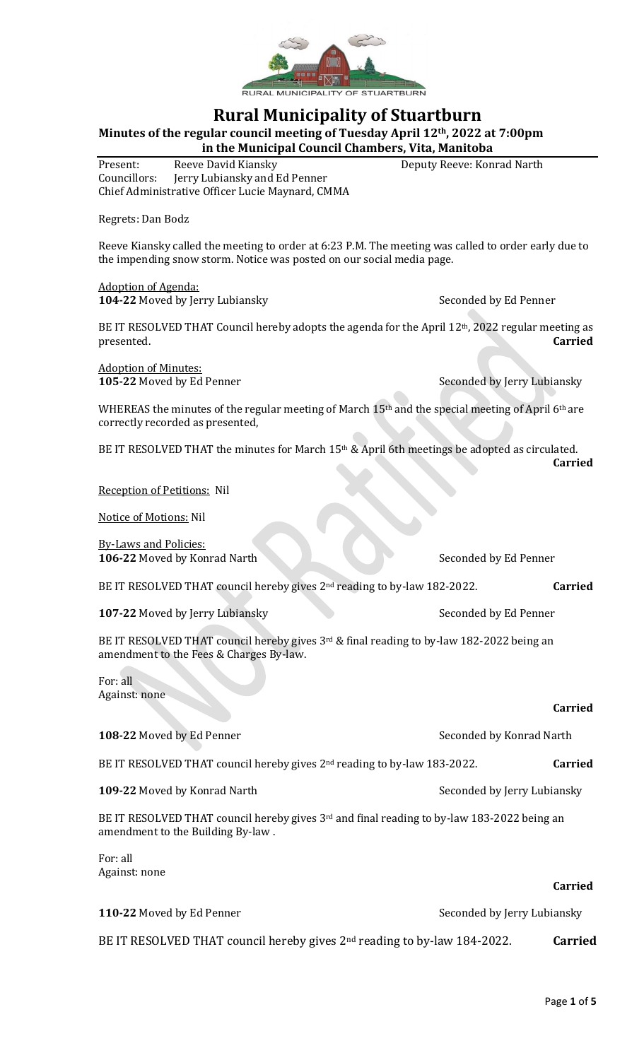

# **Rural Municipality of Stuartburn**

**Minutes of the regular council meeting of Tuesday April 12th, 2022 at 7:00pm**

**in the Municipal Council Chambers, Vita, Manitoba**

Present: Reeve David Kiansky Deputy Reeve: Konrad Narth Councillors: Jerry Lubiansky and Ed Penner Chief Administrative Officer Lucie Maynard, CMMA

Regrets: Dan Bodz

Reeve Kiansky called the meeting to order at 6:23 P.M. The meeting was called to order early due to the impending snow storm. Notice was posted on our social media page.

Adoption of Agenda: **104-22** Moved by Jerry Lubiansky Seconded by Ed Penner

BE IT RESOLVED THAT Council hereby adopts the agenda for the April 12<sup>th</sup>, 2022 regular meeting as presented. **Carried**

Adoption of Minutes:

**105-22** Moved by Ed Penner Seconded by Jerry Lubiansky

WHEREAS the minutes of the regular meeting of March 15<sup>th</sup> and the special meeting of April 6<sup>th</sup> are correctly recorded as presented,

BE IT RESOLVED THAT the minutes for March 15<sup>th</sup> & April 6th meetings be adopted as circulated. **Carried**

Reception of Petitions: Nil

Notice of Motions: Nil

By-Laws and Policies: **106-22** Moved by Konrad Narth Seconded by Ed Penner BE IT RESOLVED THAT council hereby gives 2<sup>nd</sup> reading to by-law 182-2022. **Carried 107-22** Moved by Jerry Lubiansky Seconded by Ed Penner BE IT RESOLVED THAT council hereby gives 3rd & final reading to by-law 182-2022 being an amendment to the Fees & Charges By-law.

For: all Against: none

## **Carried**

**108-22** Moved by Ed Penner Seconded by Konrad Narth BE IT RESOLVED THAT council hereby gives 2nd reading to by-law 183-2022. **Carried 109-22** Moved by Konrad Narth Seconded by Jerry Lubiansky BE IT RESOLVED THAT council hereby gives 3<sup>rd</sup> and final reading to by-law 183-2022 being an amendment to the Building By-law . For: all Against: none **Carried**

| 110-22 Moved by Ed Penner                                                  | Seconded by Jerry Lubiansky |                |
|----------------------------------------------------------------------------|-----------------------------|----------------|
| BE IT RESOLVED THAT council hereby gives $2nd$ reading to by-law 184-2022. |                             | <b>Carried</b> |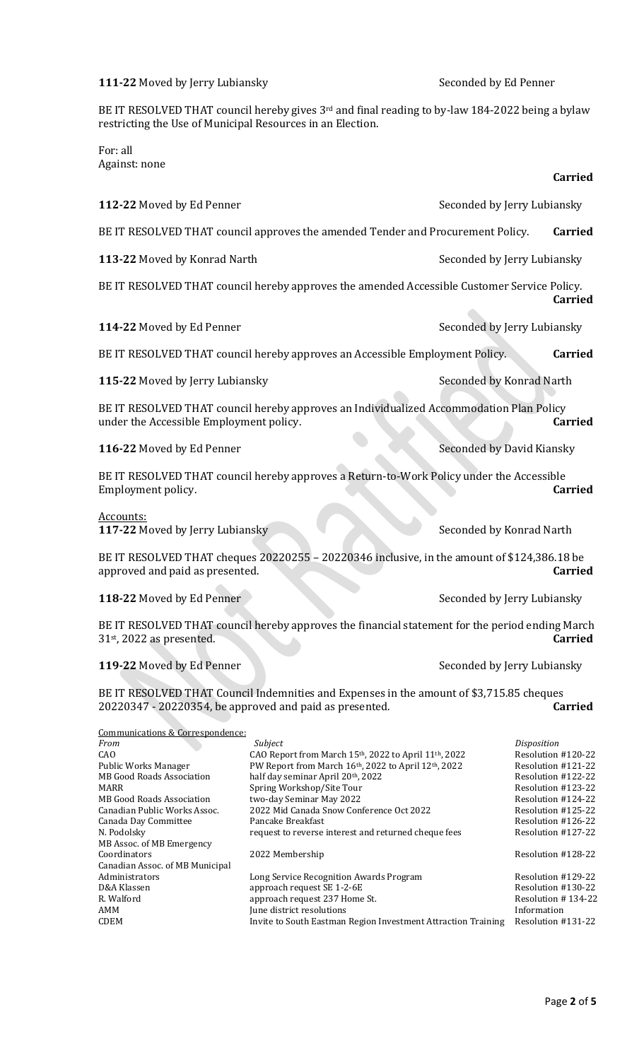**111-22** Moved by Jerry Lubiansky Seconded by Ed Penner

BE IT RESOLVED THAT council hereby gives 3<sup>rd</sup> and final reading to by-law 184-2022 being a bylaw restricting the Use of Municipal Resources in an Election.

For: all Against: none

| 112-22 Moved by Ed Penner                                                                                                                                                                                                                                   |                                                                                                                                                                                                                                                                                                                                               | Seconded by Jerry Lubiansky |                                                                                                                                                                                             |
|-------------------------------------------------------------------------------------------------------------------------------------------------------------------------------------------------------------------------------------------------------------|-----------------------------------------------------------------------------------------------------------------------------------------------------------------------------------------------------------------------------------------------------------------------------------------------------------------------------------------------|-----------------------------|---------------------------------------------------------------------------------------------------------------------------------------------------------------------------------------------|
|                                                                                                                                                                                                                                                             | BE IT RESOLVED THAT council approves the amended Tender and Procurement Policy.                                                                                                                                                                                                                                                               |                             | <b>Carried</b>                                                                                                                                                                              |
| 113-22 Moved by Konrad Narth                                                                                                                                                                                                                                |                                                                                                                                                                                                                                                                                                                                               | Seconded by Jerry Lubiansky |                                                                                                                                                                                             |
|                                                                                                                                                                                                                                                             | BE IT RESOLVED THAT council hereby approves the amended Accessible Customer Service Policy.                                                                                                                                                                                                                                                   |                             | <b>Carried</b>                                                                                                                                                                              |
| 114-22 Moved by Ed Penner                                                                                                                                                                                                                                   |                                                                                                                                                                                                                                                                                                                                               | Seconded by Jerry Lubiansky |                                                                                                                                                                                             |
|                                                                                                                                                                                                                                                             | BE IT RESOLVED THAT council hereby approves an Accessible Employment Policy.                                                                                                                                                                                                                                                                  |                             | <b>Carried</b>                                                                                                                                                                              |
| 115-22 Moved by Jerry Lubiansky                                                                                                                                                                                                                             |                                                                                                                                                                                                                                                                                                                                               | Seconded by Konrad Narth    |                                                                                                                                                                                             |
| under the Accessible Employment policy.                                                                                                                                                                                                                     | BE IT RESOLVED THAT council hereby approves an Individualized Accommodation Plan Policy                                                                                                                                                                                                                                                       |                             | <b>Carried</b>                                                                                                                                                                              |
| 116-22 Moved by Ed Penner                                                                                                                                                                                                                                   |                                                                                                                                                                                                                                                                                                                                               | Seconded by David Kiansky   |                                                                                                                                                                                             |
| Employment policy.                                                                                                                                                                                                                                          | BE IT RESOLVED THAT council hereby approves a Return-to-Work Policy under the Accessible                                                                                                                                                                                                                                                      |                             | <b>Carried</b>                                                                                                                                                                              |
| <u>Accounts:</u><br>117-22 Moved by Jerry Lubiansky                                                                                                                                                                                                         |                                                                                                                                                                                                                                                                                                                                               | Seconded by Konrad Narth    |                                                                                                                                                                                             |
| approved and paid as presented.                                                                                                                                                                                                                             | BE IT RESOLVED THAT cheques 20220255 - 20220346 inclusive, in the amount of \$124,386.18 be                                                                                                                                                                                                                                                   |                             | <b>Carried</b>                                                                                                                                                                              |
| 118-22 Moved by Ed Penner                                                                                                                                                                                                                                   |                                                                                                                                                                                                                                                                                                                                               | Seconded by Jerry Lubiansky |                                                                                                                                                                                             |
| BE IT RESOLVED THAT council hereby approves the financial statement for the period ending March<br><b>Carried</b><br>$31st$ , 2022 as presented.                                                                                                            |                                                                                                                                                                                                                                                                                                                                               |                             |                                                                                                                                                                                             |
| 119-22 Moved by Ed Penner                                                                                                                                                                                                                                   |                                                                                                                                                                                                                                                                                                                                               | Seconded by Jerry Lubiansky |                                                                                                                                                                                             |
| 20220347 - 20220354, be approved and paid as presented.                                                                                                                                                                                                     | BE IT RESOLVED THAT Council Indemnities and Expenses in the amount of \$3,715.85 cheques                                                                                                                                                                                                                                                      |                             | <b>Carried</b>                                                                                                                                                                              |
| Communications & Correspondence:<br>From<br>CAO<br>Public Works Manager<br>MB Good Roads Association<br><b>MARR</b><br><b>MB Good Roads Association</b><br>Canadian Public Works Assoc.<br>Canada Day Committee<br>N. Podolsky<br>MB Assoc. of MB Emergency | Subject<br>CAO Report from March 15th, 2022 to April 11th, 2022<br>PW Report from March 16th, 2022 to April 12th, 2022<br>half day seminar April 20th, 2022<br>Spring Workshop/Site Tour<br>two-day Seminar May 2022<br>2022 Mid Canada Snow Conference Oct 2022<br>Pancake Breakfast<br>request to reverse interest and returned cheque fees |                             | Disposition<br>Resolution #120-22<br>Resolution #121-22<br>Resolution #122-22<br>Resolution #123-22<br>Resolution #124-22<br>Resolution #125-22<br>Resolution #126-22<br>Resolution #127-22 |

Coordinators 2022 Membership Resolution #128-22 Canadian Assoc. of MB Municipal Administrators Long Service Recognition Awards Program Resolution #129-22 D&A Klassen approach request SE 1-2-6E Resolution #130-22 R. Walford approach request 237 Home St. Resolution # 134-22 AMM June district resolutions<br>
The district resolutions<br>
Invite to South Eastman Region Investment Attraction Training Resolution # Invite to South Eastman Region Investment Attraction Training Resolution #131-22

**Carried**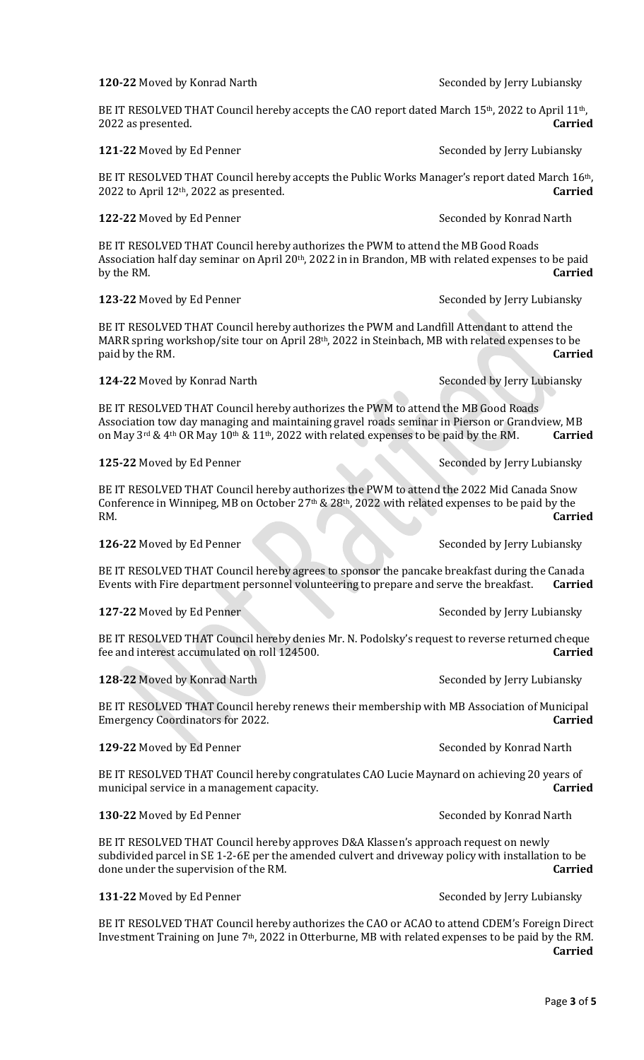# **120-22** Moved by Konrad Narth Seconded by Jerry Lubiansky

BE IT RESOLVED THAT Council hereby accepts the CAO report dated March  $15<sup>th</sup>$ , 2022 to April  $11<sup>th</sup>$ , 2022 as presented. **Carried**

BE IT RESOLVED THAT Council hereby accepts the Public Works Manager's report dated March 16<sup>th</sup>, 2022 to April 12th, 2022 as presented. **Carried**

#### **122-22** Moved by Ed Penner Seconded by Konrad Narth

BE IT RESOLVED THAT Council hereby authorizes the PWM to attend the MB Good Roads Association half day seminar on April 20<sup>th</sup>, 2022 in in Brandon, MB with related expenses to be paid by the RM. **Carried**

**123-22** Moved by Ed Penner Seconded by Jerry Lubiansky

BE IT RESOLVED THAT Council hereby authorizes the PWM and Landfill Attendant to attend the MARR spring workshop/site tour on April 28<sup>th</sup>, 2022 in Steinbach, MB with related expenses to be paid by the RM. **Carried**

**124-22** Moved by Konrad Narth Seconded by Jerry Lubiansky

BE IT RESOLVED THAT Council hereby authorizes the PWM to attend the MB Good Roads Association tow day managing and maintaining gravel roads seminar in Pierson or Grandview, MB on May 3rd & 4th OR May 10th & 11th, 2022 with related expenses to be paid by the RM. **Carried**

**125-22** Moved by Ed Penner Seconded by Jerry Lubiansky

BE IT RESOLVED THAT Council hereby authorizes the PWM to attend the 2022 Mid Canada Snow Conference in Winnipeg, MB on October 27th & 28th, 2022 with related expenses to be paid by the RM. **Carried**

**126-22** Moved by Ed Penner Seconded by Jerry Lubiansky

BE IT RESOLVED THAT Council hereby agrees to sponsor the pancake breakfast during the Canada Events with Fire department personnel volunteering to prepare and serve the breakfast. **Carried**

**127-22** Moved by Ed Penner Seconded by Jerry Lubiansky

BE IT RESOLVED THAT Council hereby denies Mr. N. Podolsky's request to reverse returned cheque fee and interest accumulated on roll 124500. **Carried**

**128-22** Moved by Konrad Narth Seconded by Jerry Lubiansky

BE IT RESOLVED THAT Council hereby renews their membership with MB Association of Municipal Emergency Coordinators for 2022. **Carried**

**129-22** Moved by Ed Penner Seconded by Konrad Narth

BE IT RESOLVED THAT Council hereby congratulates CAO Lucie Maynard on achieving 20 years of municipal service in a management capacity. **Carried**

**130-22** Moved by Ed Penner Seconded by Konrad Narth

BE IT RESOLVED THAT Council hereby approves D&A Klassen's approach request on newly subdivided parcel in SE 1-2-6E per the amended culvert and driveway policy with installation to be done under the supervision of the RM. **Carried**

**131-22** Moved by Ed Penner Seconded by Jerry Lubiansky

BE IT RESOLVED THAT Council hereby authorizes the CAO or ACAO to attend CDEM's Foreign Direct Investment Training on June 7th, 2022 in Otterburne, MB with related expenses to be paid by the RM. **Carried**

**121-22** Moved by Ed Penner Seconded by Jerry Lubiansky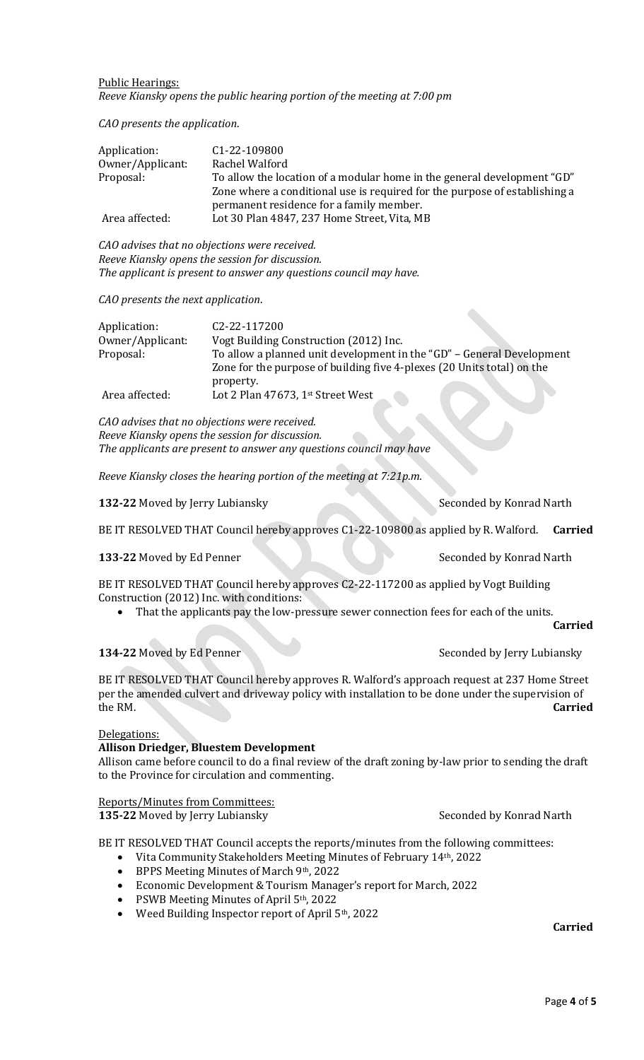#### Public Hearings: *Reeve Kiansky opens the public hearing portion of the meeting at 7:00 pm*

*CAO presents the application*.

| Application:     | C <sub>1</sub> -22-109800                                                  |
|------------------|----------------------------------------------------------------------------|
| Owner/Applicant: | Rachel Walford                                                             |
| Proposal:        | To allow the location of a modular home in the general development "GD"    |
|                  | Zone where a conditional use is required for the purpose of establishing a |
|                  | permanent residence for a family member.                                   |
| Area affected:   | Lot 30 Plan 4847, 237 Home Street, Vita, MB                                |

*CAO advises that no objections were received. Reeve Kiansky opens the session for discussion. The applicant is present to answer any questions council may have.*

#### *CAO presents the next application*.

| Application:     | C <sub>2</sub> -22-117200                                              |
|------------------|------------------------------------------------------------------------|
| Owner/Applicant: | Vogt Building Construction (2012) Inc.                                 |
| Proposal:        | To allow a planned unit development in the "GD" - General Development  |
|                  | Zone for the purpose of building five 4-plexes (20 Units total) on the |
|                  | property.                                                              |
| Area affected:   | Lot 2 Plan 47673, 1st Street West                                      |

*CAO advises that no objections were received. Reeve Kiansky opens the session for discussion. The applicants are present to answer any questions council may have*

*Reeve Kiansky closes the hearing portion of the meeting at 7:21p.m.*

**132-22** Moved by Jerry Lubiansky Seconded by Konrad Narth

BE IT RESOLVED THAT Council hereby approves C1-22-109800 as applied by R. Walford. **Carried**

## **133-22** Moved by Ed Penner Seconded by Konrad Narth

BE IT RESOLVED THAT Council hereby approves C2-22-117200 as applied by Vogt Building Construction (2012) Inc. with conditions:

• That the applicants pay the low-pressure sewer connection fees for each of the units.

**Carried**

# **134-22** Moved by Ed Penner Seconded by Jerry Lubiansky

BE IT RESOLVED THAT Council hereby approves R. Walford's approach request at 237 Home Street per the amended culvert and driveway policy with installation to be done under the supervision of the RM. **Carried**

#### Delegations:

## **Allison Driedger, Bluestem Development**

Allison came before council to do a final review of the draft zoning by-law prior to sending the draft to the Province for circulation and commenting.

## Reports/Minutes from Committees:

**135-22** Moved by Jerry Lubiansky Seconded by Konrad Narth

BE IT RESOLVED THAT Council accepts the reports/minutes from the following committees:

- Vita Community Stakeholders Meeting Minutes of February 14th, 2022
- BPPS Meeting Minutes of March 9th, 2022
- Economic Development & Tourism Manager's report for March, 2022
- PSWB Meeting Minutes of April 5th, 2022
- Weed Building Inspector report of April 5th, 2022

**Carried**